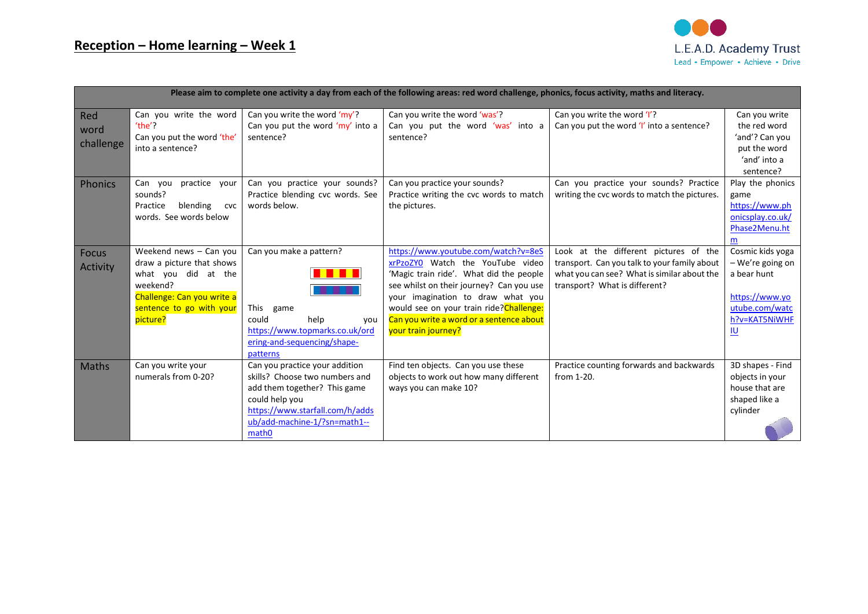

| Please aim to complete one activity a day from each of the following areas: red word challenge, phonics, focus activity, maths and literacy. |                                                                                                                                                              |                                                                                                                                                                                                            |                                                                                                                                                                                                                                                                                                                    |                                                                                                                                                                       |                                                                                                                       |  |  |  |  |
|----------------------------------------------------------------------------------------------------------------------------------------------|--------------------------------------------------------------------------------------------------------------------------------------------------------------|------------------------------------------------------------------------------------------------------------------------------------------------------------------------------------------------------------|--------------------------------------------------------------------------------------------------------------------------------------------------------------------------------------------------------------------------------------------------------------------------------------------------------------------|-----------------------------------------------------------------------------------------------------------------------------------------------------------------------|-----------------------------------------------------------------------------------------------------------------------|--|--|--|--|
| Red<br>word<br>challenge                                                                                                                     | Can you write the word<br>$'$ the $'$ ?<br>Can you put the word 'the'<br>into a sentence?                                                                    | Can you write the word 'my'?<br>Can you put the word 'my' into a<br>sentence?                                                                                                                              | Can you write the word 'was'?<br>Can you put the word 'was' into a<br>sentence?                                                                                                                                                                                                                                    | Can you write the word 'I'?<br>Can you put the word 'I' into a sentence?                                                                                              | Can you write<br>the red word<br>'and'? Can you<br>put the word<br>'and' into a<br>sentence?                          |  |  |  |  |
| <b>Phonics</b>                                                                                                                               | Can you<br>practice<br>your<br>sounds?<br>blending<br>Practice<br>cvc<br>words. See words below                                                              | Can you practice your sounds?<br>Practice blending cvc words. See<br>words below.                                                                                                                          | Can you practice your sounds?<br>Practice writing the cvc words to match<br>the pictures.                                                                                                                                                                                                                          | Can you practice your sounds? Practice<br>writing the cvc words to match the pictures.                                                                                | Play the phonics<br>game<br>https://www.ph<br>onicsplay.co.uk/<br>Phase2Menu.ht<br>m                                  |  |  |  |  |
| <b>Focus</b><br><b>Activity</b>                                                                                                              | Weekend news - Can you<br>draw a picture that shows<br>what you did at the<br>weekend?<br>Challenge: Can you write a<br>sentence to go with your<br>picture? | Can you make a pattern?<br>. <b>.</b><br>.<br>This<br>game<br>could<br>help<br>you<br>https://www.topmarks.co.uk/ord<br>ering-and-sequencing/shape-<br>patterns                                            | https://www.youtube.com/watch?v=8eS<br>xrPzoZYO Watch the YouTube video<br>'Magic train ride'. What did the people<br>see whilst on their journey? Can you use<br>your imagination to draw what you<br>would see on your train ride? Challenge:<br>Can you write a word or a sentence about<br>your train journey? | Look at the different pictures of the<br>transport. Can you talk to your family about<br>what you can see? What is similar about the<br>transport? What is different? | Cosmic kids yoga<br>- We're going on<br>a bear hunt<br>https://www.yo<br>utube.com/watc<br>h?v=KAT5NiWHF<br><u>lu</u> |  |  |  |  |
| Maths                                                                                                                                        | Can you write your<br>numerals from 0-20?                                                                                                                    | Can you practice your addition<br>skills? Choose two numbers and<br>add them together? This game<br>could help you<br>https://www.starfall.com/h/adds<br>ub/add-machine-1/?sn=math1--<br>math <sub>0</sub> | Find ten objects. Can you use these<br>objects to work out how many different<br>ways you can make 10?                                                                                                                                                                                                             | Practice counting forwards and backwards<br>from 1-20.                                                                                                                | 3D shapes - Find<br>objects in your<br>house that are<br>shaped like a<br>cylinder                                    |  |  |  |  |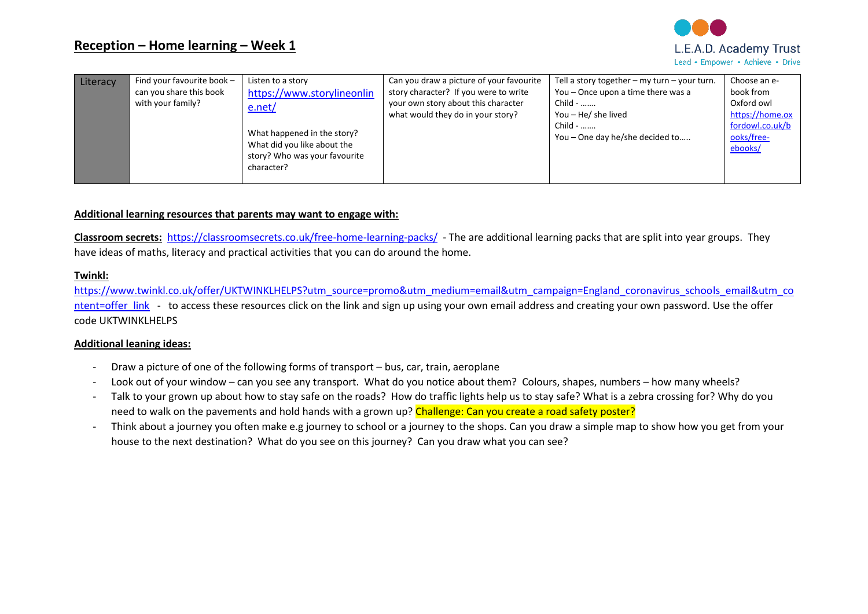

| Literacy | Find your favourite book -<br>can you share this book<br>with your family? | Listen to a story<br>https://www.storylineonlin<br>e.net/<br>What happened in the story?<br>What did you like about the<br>story? Who was your favourite<br>character? | Can you draw a picture of your favourite<br>story character? If you were to write<br>your own story about this character<br>what would they do in your story? | Tell a story together $-$ my turn $-$ your turn.<br>You - Once upon a time there was a<br>Child -<br>You - He/ she lived<br>Child -<br>You - One day he/she decided to | Choose an e-<br>book from<br>Oxford owl<br>https://home.ox<br>fordowl.co.uk/b<br>ooks/free-<br>ebooks/ |
|----------|----------------------------------------------------------------------------|------------------------------------------------------------------------------------------------------------------------------------------------------------------------|---------------------------------------------------------------------------------------------------------------------------------------------------------------|------------------------------------------------------------------------------------------------------------------------------------------------------------------------|--------------------------------------------------------------------------------------------------------|
|----------|----------------------------------------------------------------------------|------------------------------------------------------------------------------------------------------------------------------------------------------------------------|---------------------------------------------------------------------------------------------------------------------------------------------------------------|------------------------------------------------------------------------------------------------------------------------------------------------------------------------|--------------------------------------------------------------------------------------------------------|

## **Additional learning resources that parents may want to engage with:**

**Classroom secrets:** <https://classroomsecrets.co.uk/free-home-learning-packs/>- The are additional learning packs that are split into year groups. They have ideas of maths, literacy and practical activities that you can do around the home.

#### **Twinkl:**

[https://www.twinkl.co.uk/offer/UKTWINKLHELPS?utm\\_source=promo&utm\\_medium=email&utm\\_campaign=England\\_coronavirus\\_schools\\_email&utm\\_co](https://www.twinkl.co.uk/offer/UKTWINKLHELPS?utm_source=promo&utm_medium=email&utm_campaign=England_coronavirus_schools_email&utm_content=offer_link) ntent=offer link - to access these resources click on the link and sign up using your own email address and creating your own password. Use the offer code UKTWINKLHELPS

### **Additional leaning ideas:**

- Draw a picture of one of the following forms of transport bus, car, train, aeroplane
- Look out of your window can you see any transport. What do you notice about them? Colours, shapes, numbers how many wheels?
- Talk to your grown up about how to stay safe on the roads? How do traffic lights help us to stay safe? What is a zebra crossing for? Why do you need to walk on the pavements and hold hands with a grown up? Challenge: Can you create a road safety poster?
- Think about a journey you often make e.g journey to school or a journey to the shops. Can you draw a simple map to show how you get from your house to the next destination? What do you see on this journey? Can you draw what you can see?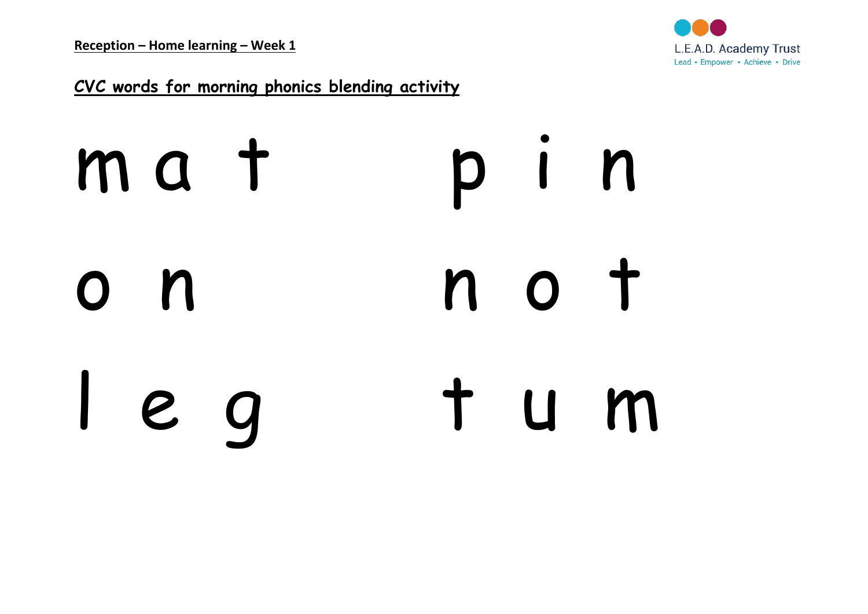

**CVC words for morning phonics blending activity**

# m a t p i n o n n o t l e g t u m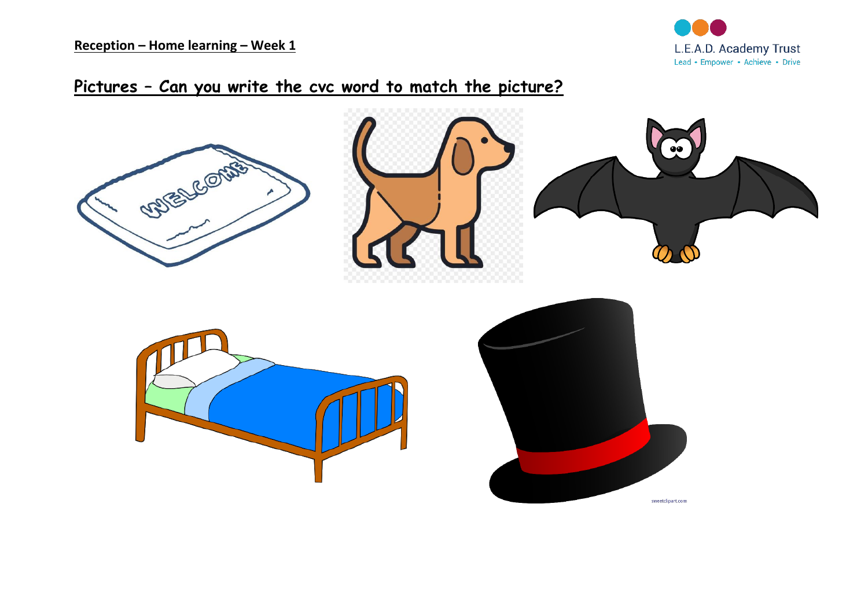**Reception – Home learning – Week 1**



## **Pictures – Can you write the cvc word to match the picture?**